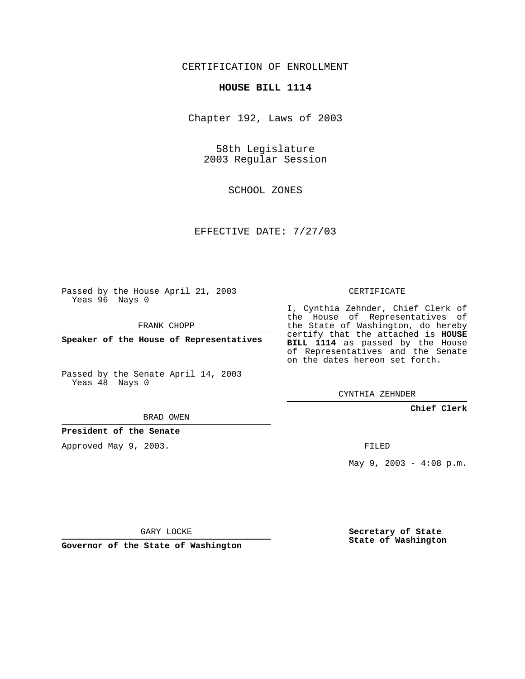CERTIFICATION OF ENROLLMENT

## **HOUSE BILL 1114**

Chapter 192, Laws of 2003

58th Legislature 2003 Regular Session

SCHOOL ZONES

EFFECTIVE DATE: 7/27/03

Passed by the House April 21, 2003 Yeas 96 Nays 0

FRANK CHOPP

**Speaker of the House of Representatives**

Passed by the Senate April 14, 2003 Yeas 48 Nays 0

BRAD OWEN

**President of the Senate**

Approved May 9, 2003.

CERTIFICATE

I, Cynthia Zehnder, Chief Clerk of the House of Representatives of the State of Washington, do hereby certify that the attached is **HOUSE BILL 1114** as passed by the House of Representatives and the Senate on the dates hereon set forth.

CYNTHIA ZEHNDER

**Chief Clerk**

FILED

May 9, 2003 - 4:08 p.m.

GARY LOCKE

**Governor of the State of Washington**

**Secretary of State State of Washington**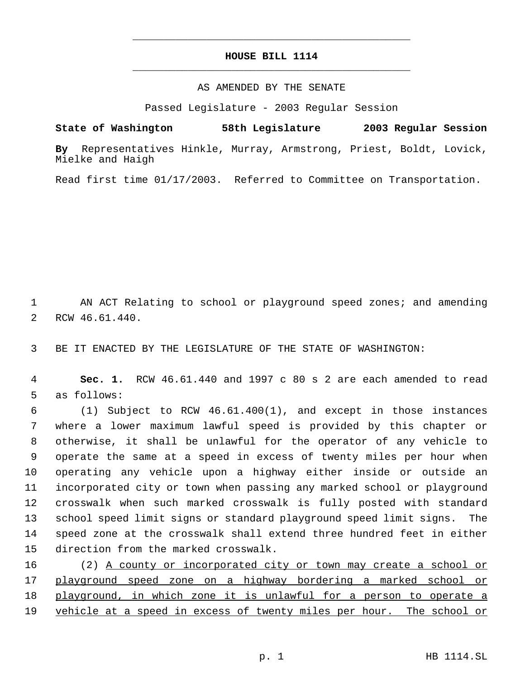## **HOUSE BILL 1114** \_\_\_\_\_\_\_\_\_\_\_\_\_\_\_\_\_\_\_\_\_\_\_\_\_\_\_\_\_\_\_\_\_\_\_\_\_\_\_\_\_\_\_\_\_

\_\_\_\_\_\_\_\_\_\_\_\_\_\_\_\_\_\_\_\_\_\_\_\_\_\_\_\_\_\_\_\_\_\_\_\_\_\_\_\_\_\_\_\_\_

## AS AMENDED BY THE SENATE

Passed Legislature - 2003 Regular Session

**State of Washington 58th Legislature 2003 Regular Session**

**By** Representatives Hinkle, Murray, Armstrong, Priest, Boldt, Lovick, Mielke and Haigh

Read first time 01/17/2003. Referred to Committee on Transportation.

 AN ACT Relating to school or playground speed zones; and amending RCW 46.61.440.

BE IT ENACTED BY THE LEGISLATURE OF THE STATE OF WASHINGTON:

 **Sec. 1.** RCW 46.61.440 and 1997 c 80 s 2 are each amended to read as follows:

 (1) Subject to RCW 46.61.400(1), and except in those instances where a lower maximum lawful speed is provided by this chapter or otherwise, it shall be unlawful for the operator of any vehicle to operate the same at a speed in excess of twenty miles per hour when operating any vehicle upon a highway either inside or outside an incorporated city or town when passing any marked school or playground crosswalk when such marked crosswalk is fully posted with standard school speed limit signs or standard playground speed limit signs. The speed zone at the crosswalk shall extend three hundred feet in either direction from the marked crosswalk.

 (2) A county or incorporated city or town may create a school or playground speed zone on a highway bordering a marked school or playground, in which zone it is unlawful for a person to operate a 19 vehicle at a speed in excess of twenty miles per hour. The school or